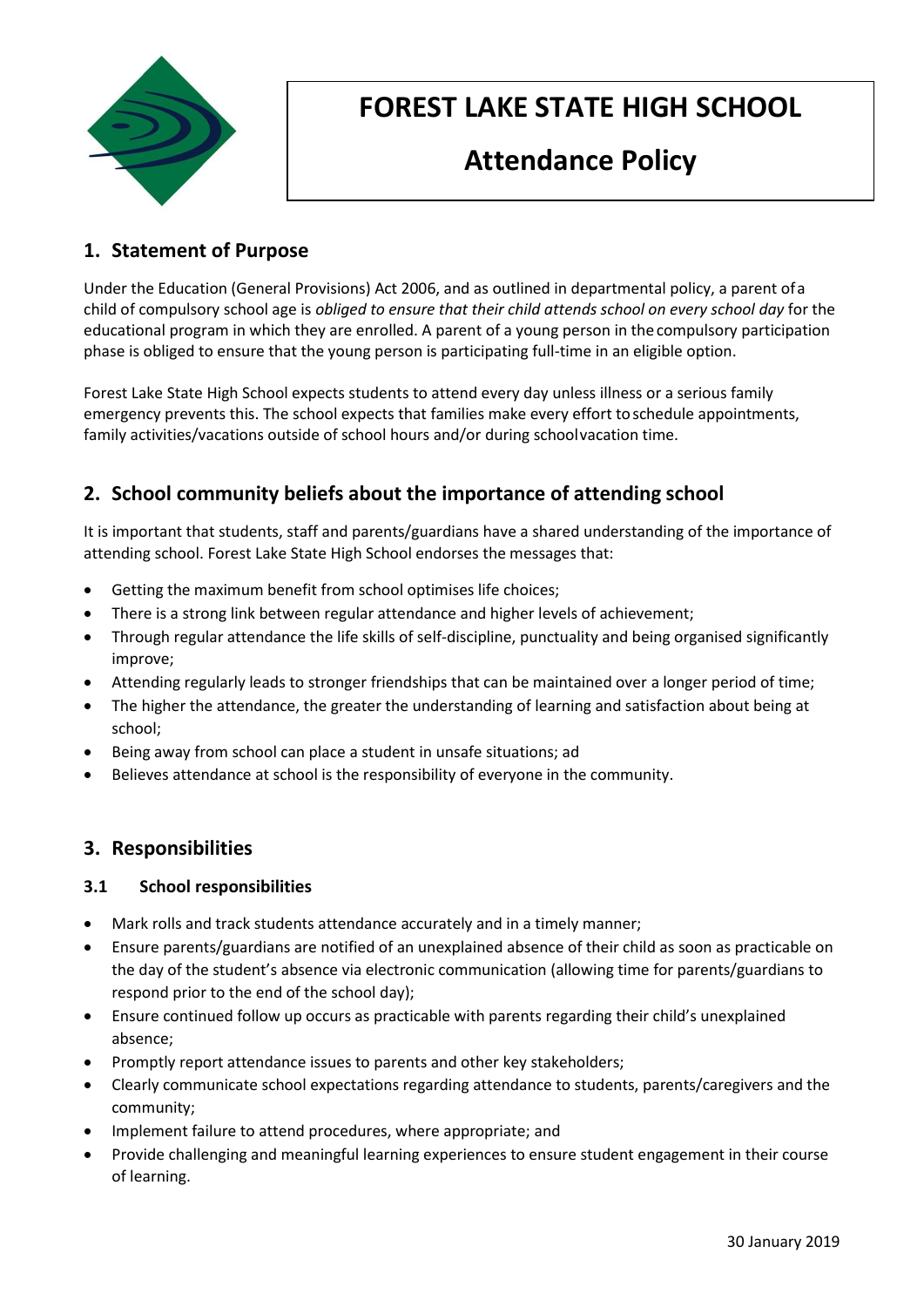

# **FOREST LAKE STATE HIGH SCHOOL**

# **Attendance Policy**

# **1. Statement of Purpose**

Under the Education (General Provisions) Act 2006, and as outlined in departmental policy, a parent ofa child of compulsory school age is *obliged to ensure that their child attends school on every school day* for the educational program in which they are enrolled. A parent of a young person in thecompulsory participation phase is obliged to ensure that the young person is participating full-time in an eligible option.

Forest Lake State High School expects students to attend every day unless illness or a serious family emergency prevents this. The school expects that families make every effort toschedule appointments, family activities/vacations outside of school hours and/or during schoolvacation time.

# **2. School community beliefs about the importance of attending school**

It is important that students, staff and parents/guardians have a shared understanding of the importance of attending school. Forest Lake State High School endorses the messages that:

- Getting the maximum benefit from school optimises life choices;
- There is a strong link between regular attendance and higher levels of achievement;
- Through regular attendance the life skills of self-discipline, punctuality and being organised significantly improve;
- Attending regularly leads to stronger friendships that can be maintained over a longer period of time;
- The higher the attendance, the greater the understanding of learning and satisfaction about being at school;
- Being away from school can place a student in unsafe situations; ad
- Believes attendance at school is the responsibility of everyone in the community.

## **3. Responsibilities**

## **3.1 School responsibilities**

- Mark rolls and track students attendance accurately and in a timely manner;
- Ensure parents/guardians are notified of an unexplained absence of their child as soon as practicable on the day of the student's absence via electronic communication (allowing time for parents/guardians to respond prior to the end of the school day);
- Ensure continued follow up occurs as practicable with parents regarding their child's unexplained absence;
- Promptly report attendance issues to parents and other key stakeholders;
- Clearly communicate school expectations regarding attendance to students, parents/caregivers and the community;
- Implement failure to attend procedures, where appropriate; and
- Provide challenging and meaningful learning experiences to ensure student engagement in their course of learning.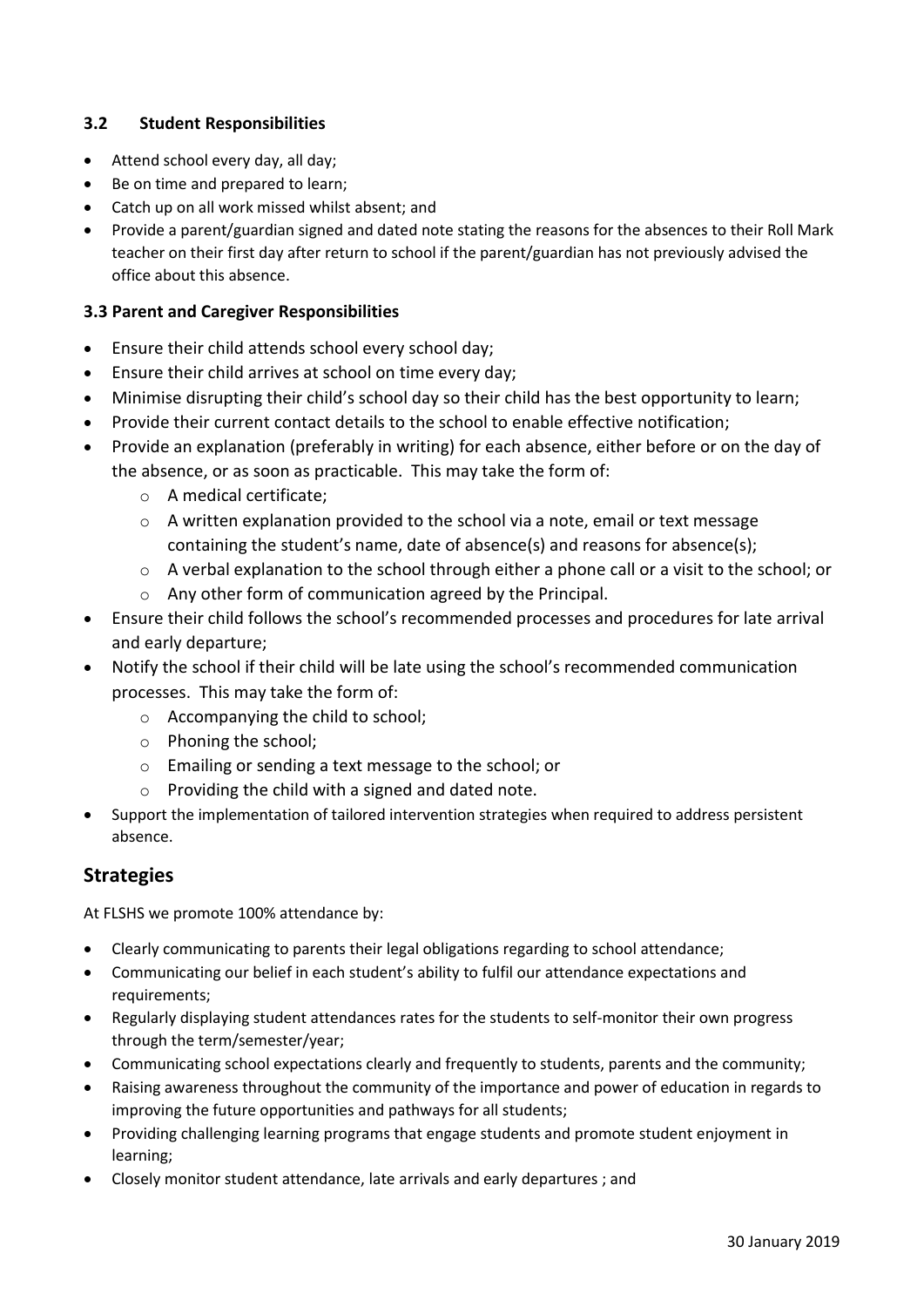## **3.2 Student Responsibilities**

- Attend school every day, all day;
- Be on time and prepared to learn;
- Catch up on all work missed whilst absent; and
- Provide a parent/guardian signed and dated note stating the reasons for the absences to their Roll Mark teacher on their first day after return to school if the parent/guardian has not previously advised the office about this absence.

### **3.3 Parent and Caregiver Responsibilities**

- Ensure their child attends school every school day;
- Ensure their child arrives at school on time every day;
- Minimise disrupting their child's school day so their child has the best opportunity to learn;
- Provide their current contact details to the school to enable effective notification;
- Provide an explanation (preferably in writing) for each absence, either before or on the day of the absence, or as soon as practicable. This may take the form of:
	- o A medical certificate;
	- o A written explanation provided to the school via a note, email or text message containing the student's name, date of absence(s) and reasons for absence(s);
	- $\circ$  A verbal explanation to the school through either a phone call or a visit to the school; or
	- o Any other form of communication agreed by the Principal.
- Ensure their child follows the school's recommended processes and procedures for late arrival and early departure;
- Notify the school if their child will be late using the school's recommended communication processes. This may take the form of:
	- o Accompanying the child to school;
	- o Phoning the school;
	- o Emailing or sending a text message to the school; or
	- o Providing the child with a signed and dated note.
- Support the implementation of tailored intervention strategies when required to address persistent absence.

## **Strategies**

At FLSHS we promote 100% attendance by:

- Clearly communicating to parents their legal obligations regarding to school attendance;
- Communicating our belief in each student's ability to fulfil our attendance expectations and requirements;
- Regularly displaying student attendances rates for the students to self-monitor their own progress through the term/semester/year;
- Communicating school expectations clearly and frequently to students, parents and the community;
- Raising awareness throughout the community of the importance and power of education in regards to improving the future opportunities and pathways for all students;
- Providing challenging learning programs that engage students and promote student enjoyment in learning;
- Closely monitor student attendance, late arrivals and early departures ; and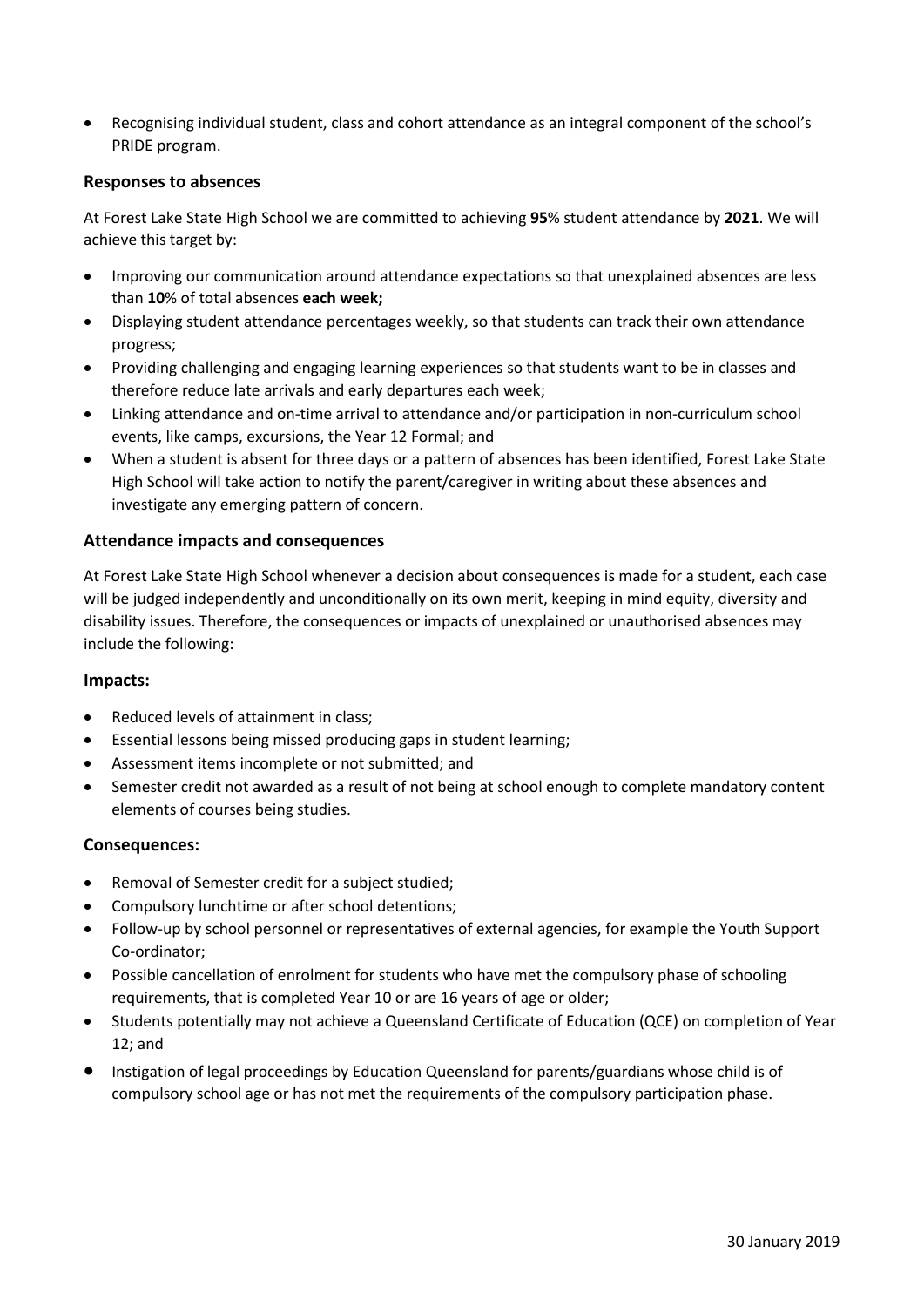Recognising individual student, class and cohort attendance as an integral component of the school's PRIDE program.

#### **Responses to absences**

At Forest Lake State High School we are committed to achieving **95**% student attendance by **2021**. We will achieve this target by:

- Improving our communication around attendance expectations so that unexplained absences are less than **10**% of total absences **each week;**
- Displaying student attendance percentages weekly, so that students can track their own attendance progress;
- Providing challenging and engaging learning experiences so that students want to be in classes and therefore reduce late arrivals and early departures each week;
- Linking attendance and on-time arrival to attendance and/or participation in non-curriculum school events, like camps, excursions, the Year 12 Formal; and
- When a student is absent for three days or a pattern of absences has been identified, Forest Lake State High School will take action to notify the parent/caregiver in writing about these absences and investigate any emerging pattern of concern.

#### **Attendance impacts and consequences**

At Forest Lake State High School whenever a decision about consequences is made for a student, each case will be judged independently and unconditionally on its own merit, keeping in mind equity, diversity and disability issues. Therefore, the consequences or impacts of unexplained or unauthorised absences may include the following:

#### **Impacts:**

- Reduced levels of attainment in class;
- Essential lessons being missed producing gaps in student learning;
- Assessment items incomplete or not submitted; and
- Semester credit not awarded as a result of not being at school enough to complete mandatory content elements of courses being studies.

#### **Consequences:**

- Removal of Semester credit for a subject studied;
- Compulsory lunchtime or after school detentions;
- Follow-up by school personnel or representatives of external agencies, for example the Youth Support Co-ordinator;
- Possible cancellation of enrolment for students who have met the compulsory phase of schooling requirements, that is completed Year 10 or are 16 years of age or older;
- Students potentially may not achieve a Queensland Certificate of Education (QCE) on completion of Year 12; and
- Instigation of legal proceedings by Education Queensland for parents/guardians whose child is of compulsory school age or has not met the requirements of the compulsory participation phase.